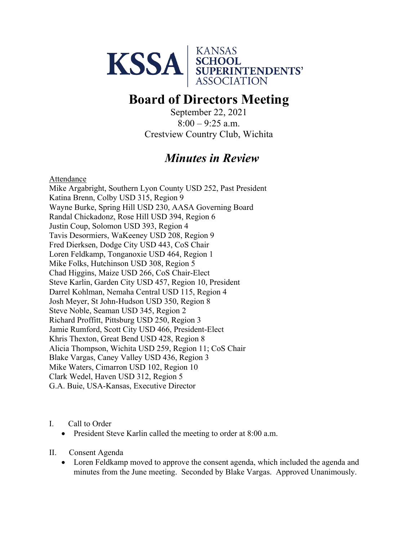

## **Board of Directors Meeting**

September 22, 2021  $8:00 - 9:25$  a.m. Crestview Country Club, Wichita

## *Minutes in Review*

**Attendance** 

Mike Argabright, Southern Lyon County USD 252, Past President Katina Brenn, Colby USD 315, Region 9 Wayne Burke, Spring Hill USD 230, AASA Governing Board Randal Chickadonz, Rose Hill USD 394, Region 6 Justin Coup, Solomon USD 393, Region 4 Tavis Desormiers, WaKeeney USD 208, Region 9 Fred Dierksen, Dodge City USD 443, CoS Chair Loren Feldkamp, Tonganoxie USD 464, Region 1 Mike Folks, Hutchinson USD 308, Region 5 Chad Higgins, Maize USD 266, CoS Chair-Elect Steve Karlin, Garden City USD 457, Region 10, President Darrel Kohlman, Nemaha Central USD 115, Region 4 Josh Meyer, St John-Hudson USD 350, Region 8 Steve Noble, Seaman USD 345, Region 2 Richard Proffitt, Pittsburg USD 250, Region 3 Jamie Rumford, Scott City USD 466, President-Elect Khris Thexton, Great Bend USD 428, Region 8 Alicia Thompson, Wichita USD 259, Region 11; CoS Chair Blake Vargas, Caney Valley USD 436, Region 3 Mike Waters, Cimarron USD 102, Region 10 Clark Wedel, Haven USD 312, Region 5 G.A. Buie, USA-Kansas, Executive Director

I. Call to Order

• President Steve Karlin called the meeting to order at 8:00 a.m.

II. Consent Agenda

• Loren Feldkamp moved to approve the consent agenda, which included the agenda and minutes from the June meeting. Seconded by Blake Vargas. Approved Unanimously.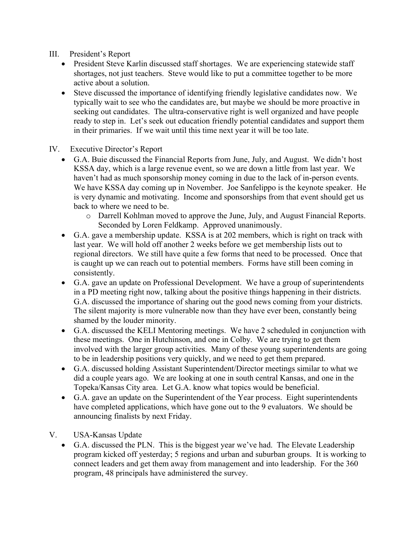## III. President's Report

- President Steve Karlin discussed staff shortages. We are experiencing statewide staff shortages, not just teachers. Steve would like to put a committee together to be more active about a solution.
- Steve discussed the importance of identifying friendly legislative candidates now. We typically wait to see who the candidates are, but maybe we should be more proactive in seeking out candidates. The ultra-conservative right is well organized and have people ready to step in. Let's seek out education friendly potential candidates and support them in their primaries. If we wait until this time next year it will be too late.
- IV. Executive Director's Report
	- G.A. Buie discussed the Financial Reports from June, July, and August. We didn't host KSSA day, which is a large revenue event, so we are down a little from last year. We haven't had as much sponsorship money coming in due to the lack of in-person events. We have KSSA day coming up in November. Joe Sanfelippo is the keynote speaker. He is very dynamic and motivating. Income and sponsorships from that event should get us back to where we need to be.
		- o Darrell Kohlman moved to approve the June, July, and August Financial Reports. Seconded by Loren Feldkamp. Approved unanimously.
	- G.A. gave a membership update. KSSA is at 202 members, which is right on track with last year. We will hold off another 2 weeks before we get membership lists out to regional directors. We still have quite a few forms that need to be processed. Once that is caught up we can reach out to potential members. Forms have still been coming in consistently.
	- G.A. gave an update on Professional Development. We have a group of superintendents in a PD meeting right now, talking about the positive things happening in their districts. G.A. discussed the importance of sharing out the good news coming from your districts. The silent majority is more vulnerable now than they have ever been, constantly being shamed by the louder minority.
	- G.A. discussed the KELI Mentoring meetings. We have 2 scheduled in conjunction with these meetings. One in Hutchinson, and one in Colby. We are trying to get them involved with the larger group activities. Many of these young superintendents are going to be in leadership positions very quickly, and we need to get them prepared.
	- G.A. discussed holding Assistant Superintendent/Director meetings similar to what we did a couple years ago. We are looking at one in south central Kansas, and one in the Topeka/Kansas City area. Let G.A. know what topics would be beneficial.
	- G.A. gave an update on the Superintendent of the Year process. Eight superintendents have completed applications, which have gone out to the 9 evaluators. We should be announcing finalists by next Friday.
- V. USA-Kansas Update
	- G.A. discussed the PLN. This is the biggest year we've had. The Elevate Leadership program kicked off yesterday; 5 regions and urban and suburban groups. It is working to connect leaders and get them away from management and into leadership. For the 360 program, 48 principals have administered the survey.